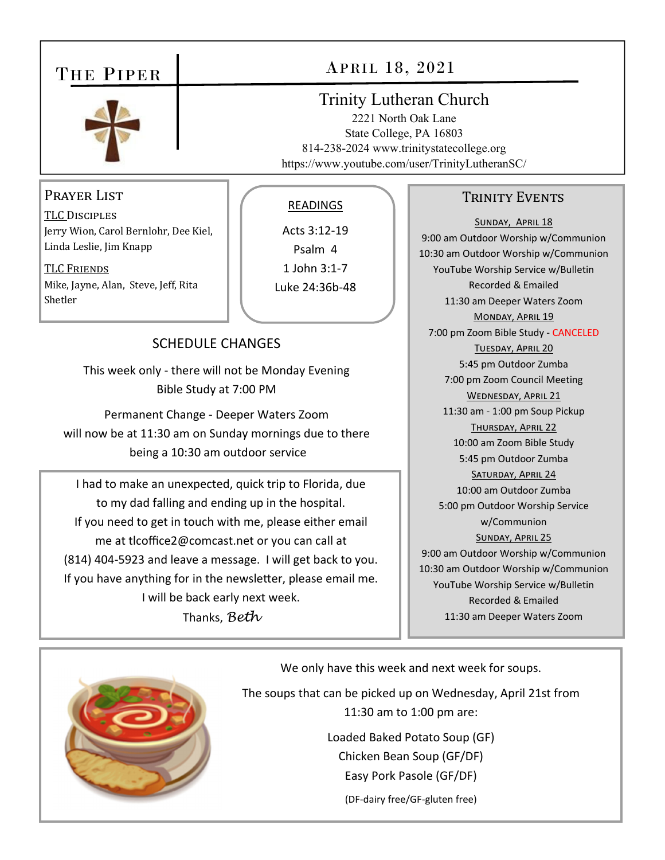## THE PIPER



### Prayer List

TLC DISCIPLES Jerry Wion, Carol Bernlohr, Dee Kiel, Linda Leslie, Jim Knapp

TLC FRIENDS Mike, Jayne, Alan, Steve, Jeff, Rita Shetler

### READINGS

Acts 3:12‐19 Psalm 4 1 John 3:1‐7 Luke 24:36b‐48

## SCHEDULE CHANGES

This week only ‐ there will not be Monday Evening Bible Study at 7:00 PM

Permanent Change ‐ Deeper Waters Zoom will now be at 11:30 am on Sunday mornings due to there being a 10:30 am outdoor service

I had to make an unexpected, quick trip to Florida, due to my dad falling and ending up in the hospital. If you need to get in touch with me, please either email me at tlcoffice2@comcast.net or you can call at (814) 404‐5923 and leave a message. I will get back to you. If you have anything for in the newsletter, please email me. I will be back early next week. Thanks, *Beth* 

#### TRINITY EVENTS

SUNDAY, APRIL 18 9:00 am Outdoor Worship w/Communion 10:30 am Outdoor Worship w/Communion YouTube Worship Service w/Bulletin Recorded & Emailed 11:30 am Deeper Waters Zoom MONDAY, APRIL 19 7:00 pm Zoom Bible Study ‐ CANCELED TUESDAY, APRIL 20 5:45 pm Outdoor Zumba 7:00 pm Zoom Council Meeting WEDNESDAY, APRIL 21 11:30 am ‐ 1:00 pm Soup Pickup THURSDAY, APRIL 22 10:00 am Zoom Bible Study 5:45 pm Outdoor Zumba SATURDAY, APRIL 24 10:00 am Outdoor Zumba 5:00 pm Outdoor Worship Service w/Communion SUNDAY, APRIL 25 9:00 am Outdoor Worship w/Communion 10:30 am Outdoor Worship w/Communion YouTube Worship Service w/Bulletin Recorded & Emailed 11:30 am Deeper Waters Zoom



We only have this week and next week for soups.

The soups that can be picked up on Wednesday, April 21st from 11:30 am to 1:00 pm are:

> Loaded Baked Potato Soup (GF) Chicken Bean Soup (GF/DF) Easy Pork Pasole (GF/DF)

> > (DF‐dairy free/GF‐gluten free)

# APRIL 18, 2021

Trinity Lutheran Church 2221 North Oak Lane State College, PA 16803 814-238-2024 www.trinitystatecollege.org https://www.youtube.com/user/TrinityLutheranSC/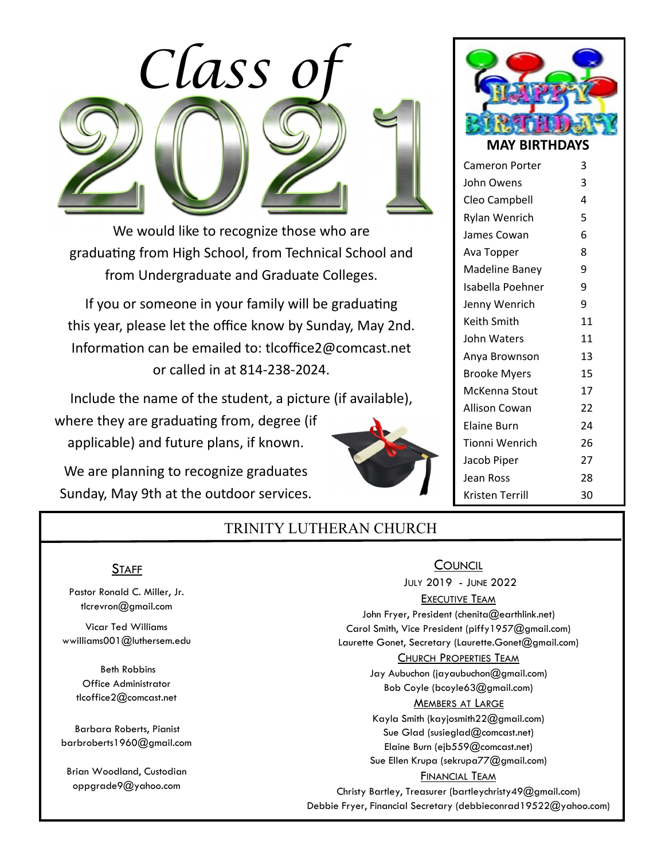

We would like to recognize those who are graduating from High School, from Technical School and from Undergraduate and Graduate Colleges.

If you or someone in your family will be graduating this year, please let the office know by Sunday, May 2nd. Information can be emailed to: tlcoffice2@comcast.net or called in at 814‐238‐2024.

Include the name of the student, a picture (if available),

where they are graduating from, degree (if applicable) and future plans, if known.

We are planning to recognize graduates Sunday, May 9th at the outdoor services.





| <b>Cameron Porter</b> | 3  |
|-----------------------|----|
| John Owens            | 3  |
| Cleo Campbell         | 4  |
| <b>Rylan Wenrich</b>  | 5  |
| James Cowan           | 6  |
| Ava Topper            | 8  |
| Madeline Baney        | 9  |
| Isabella Poehner      | 9  |
| Jenny Wenrich         | 9  |
| Keith Smith           | 11 |
| John Waters           | 11 |
| Anya Brownson         | 13 |
| <b>Brooke Myers</b>   | 15 |
| McKenna Stout         | 17 |
| Allison Cowan         | 22 |
| Elaine Burn           | 24 |
| Tionni Wenrich        | 26 |
| Jacob Piper           | 27 |
| Jean Ross             | 28 |
| Kristen Terrill       | 30 |

## TRINITY LUTHERAN CHURCH

#### **STAFF**

Pastor Ronald C. Miller, Jr. tlcrevron@gmail.com

Vicar Ted Williams wwilliams001@luthersem.edu

 Beth Robbins Office Administrator tlcoffice2@comcast.net

Barbara Roberts, Pianist barbroberts1960@gmail.com

Brian Woodland, Custodian oppgrade9@yahoo.com

**COUNCIL**  JULY 2019 - JUNE 2022 EXECUTIVE TEAM John Fryer, President (chenita@earthlink.net) Carol Smith, Vice President (piffy1957@gmail.com) Laurette Gonet, Secretary (Laurette.Gonet@gmail.com) CHURCH PROPERTIES TEAM Jay Aubuchon (jayaubuchon@gmail.com) Bob Coyle (bcoyle63@gmail.com) **MEMBERS AT LARGE** Kayla Smith (kayjosmith22@gmail.com) Sue Glad (susieglad@comcast.net) Elaine Burn (ejb559@comcast.net) Sue Ellen Krupa (sekrupa77@gmail.com) FINANCIAL TEAM Christy Bartley, Treasurer (bartleychristy49@gmail.com) Debbie Fryer, Financial Secretary (debbieconrad19522@yahoo.com)